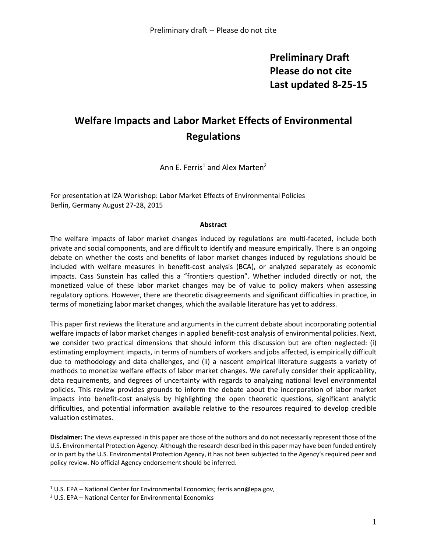## **Preliminary Draft Please do not cite Last updated 8-25-15**

# **Welfare Impacts and Labor Market Effects of Environmental Regulations**

Ann  $F.$  Ferris<sup>1</sup> and Alex Marten<sup>2</sup>

For presentation at IZA Workshop: Labor Market Effects of Environmental Policies Berlin, Germany August 27-28, 2015

#### **Abstract**

The welfare impacts of labor market changes induced by regulations are multi-faceted, include both private and social components, and are difficult to identify and measure empirically. There is an ongoing debate on whether the costs and benefits of labor market changes induced by regulations should be included with welfare measures in benefit-cost analysis (BCA), or analyzed separately as economic impacts. Cass Sunstein has called this a "frontiers question". Whether included directly or not, the monetized value of these labor market changes may be of value to policy makers when assessing regulatory options. However, there are theoretic disagreements and significant difficulties in practice, in terms of monetizing labor market changes, which the available literature has yet to address.

This paper first reviews the literature and arguments in the current debate about incorporating potential welfare impacts of labor market changes in applied benefit-cost analysis of environmental policies. Next, we consider two practical dimensions that should inform this discussion but are often neglected: (i) estimating employment impacts, in terms of numbers of workers and jobs affected, is empirically difficult due to methodology and data challenges, and (ii) a nascent empirical literature suggests a variety of methods to monetize welfare effects of labor market changes. We carefully consider their applicability, data requirements, and degrees of uncertainty with regards to analyzing national level environmental policies. This review provides grounds to inform the debate about the incorporation of labor market impacts into benefit-cost analysis by highlighting the open theoretic questions, significant analytic difficulties, and potential information available relative to the resources required to develop credible valuation estimates.

**Disclaimer:** The views expressed in this paper are those of the authors and do not necessarily represent those of the U.S. Environmental Protection Agency. Although the research described in this paper may have been funded entirely or in part by the U.S. Environmental Protection Agency, it has not been subjected to the Agency's required peer and policy review. No official Agency endorsement should be inferred.

 $\overline{a}$ 

<sup>&</sup>lt;sup>1</sup> U.S. EPA – National Center for Environmental Economics; ferris.ann@epa.gov,

<sup>2</sup> U.S. EPA – National Center for Environmental Economics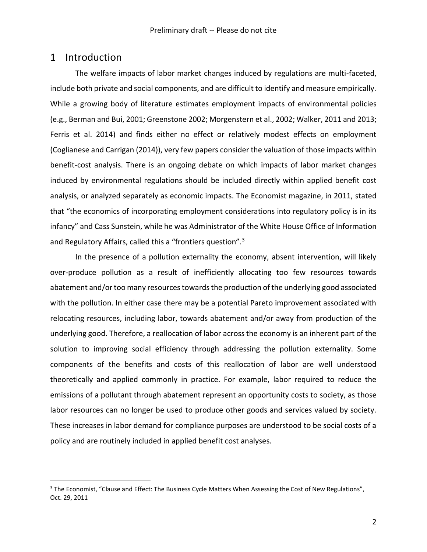### 1 Introduction

 $\overline{a}$ 

The welfare impacts of labor market changes induced by regulations are multi-faceted, include both private and social components, and are difficult to identify and measure empirically. While a growing body of literature estimates employment impacts of environmental policies (e.g., Berman and Bui, 2001; Greenstone 2002; Morgenstern et al., 2002; Walker, 2011 and 2013; Ferris et al. 2014) and finds either no effect or relatively modest effects on employment (Coglianese and Carrigan (2014)), very few papers consider the valuation of those impacts within benefit-cost analysis. There is an ongoing debate on which impacts of labor market changes induced by environmental regulations should be included directly within applied benefit cost analysis, or analyzed separately as economic impacts. The Economist magazine, in 2011, stated that "the economics of incorporating employment considerations into regulatory policy is in its infancy" and Cass Sunstein, while he was Administrator of the White House Office of Information and Regulatory Affairs, called this a "frontiers question".<sup>3</sup>

In the presence of a pollution externality the economy, absent intervention, will likely over-produce pollution as a result of inefficiently allocating too few resources towards abatement and/or too many resources towards the production of the underlying good associated with the pollution. In either case there may be a potential Pareto improvement associated with relocating resources, including labor, towards abatement and/or away from production of the underlying good. Therefore, a reallocation of labor across the economy is an inherent part of the solution to improving social efficiency through addressing the pollution externality. Some components of the benefits and costs of this reallocation of labor are well understood theoretically and applied commonly in practice. For example, labor required to reduce the emissions of a pollutant through abatement represent an opportunity costs to society, as those labor resources can no longer be used to produce other goods and services valued by society. These increases in labor demand for compliance purposes are understood to be social costs of a policy and are routinely included in applied benefit cost analyses.

<sup>&</sup>lt;sup>3</sup> The Economist, "Clause and Effect: The Business Cycle Matters When Assessing the Cost of New Regulations", Oct. 29, 2011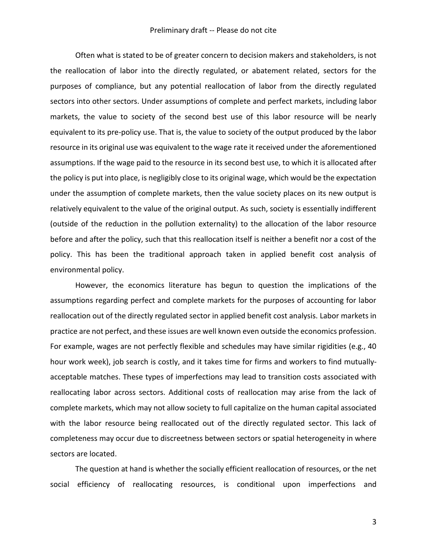Often what is stated to be of greater concern to decision makers and stakeholders, is not the reallocation of labor into the directly regulated, or abatement related, sectors for the purposes of compliance, but any potential reallocation of labor from the directly regulated sectors into other sectors. Under assumptions of complete and perfect markets, including labor markets, the value to society of the second best use of this labor resource will be nearly equivalent to its pre-policy use. That is, the value to society of the output produced by the labor resource in its original use was equivalent to the wage rate it received under the aforementioned assumptions. If the wage paid to the resource in its second best use, to which it is allocated after the policy is put into place, is negligibly close to its original wage, which would be the expectation under the assumption of complete markets, then the value society places on its new output is relatively equivalent to the value of the original output. As such, society is essentially indifferent (outside of the reduction in the pollution externality) to the allocation of the labor resource before and after the policy, such that this reallocation itself is neither a benefit nor a cost of the policy. This has been the traditional approach taken in applied benefit cost analysis of environmental policy.

However, the economics literature has begun to question the implications of the assumptions regarding perfect and complete markets for the purposes of accounting for labor reallocation out of the directly regulated sector in applied benefit cost analysis. Labor markets in practice are not perfect, and these issues are well known even outside the economics profession. For example, wages are not perfectly flexible and schedules may have similar rigidities (e.g., 40 hour work week), job search is costly, and it takes time for firms and workers to find mutuallyacceptable matches. These types of imperfections may lead to transition costs associated with reallocating labor across sectors. Additional costs of reallocation may arise from the lack of complete markets, which may not allow society to full capitalize on the human capital associated with the labor resource being reallocated out of the directly regulated sector. This lack of completeness may occur due to discreetness between sectors or spatial heterogeneity in where sectors are located.

The question at hand is whether the socially efficient reallocation of resources, or the net social efficiency of reallocating resources, is conditional upon imperfections and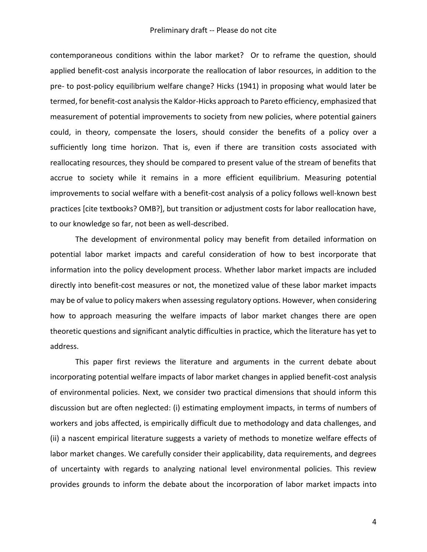contemporaneous conditions within the labor market? Or to reframe the question, should applied benefit-cost analysis incorporate the reallocation of labor resources, in addition to the pre- to post-policy equilibrium welfare change? Hicks (1941) in proposing what would later be termed, for benefit-cost analysis the Kaldor-Hicks approach to Pareto efficiency, emphasized that measurement of potential improvements to society from new policies, where potential gainers could, in theory, compensate the losers, should consider the benefits of a policy over a sufficiently long time horizon. That is, even if there are transition costs associated with reallocating resources, they should be compared to present value of the stream of benefits that accrue to society while it remains in a more efficient equilibrium. Measuring potential improvements to social welfare with a benefit-cost analysis of a policy follows well-known best practices [cite textbooks? OMB?], but transition or adjustment costs for labor reallocation have, to our knowledge so far, not been as well-described.

The development of environmental policy may benefit from detailed information on potential labor market impacts and careful consideration of how to best incorporate that information into the policy development process. Whether labor market impacts are included directly into benefit-cost measures or not, the monetized value of these labor market impacts may be of value to policy makers when assessing regulatory options. However, when considering how to approach measuring the welfare impacts of labor market changes there are open theoretic questions and significant analytic difficulties in practice, which the literature has yet to address.

This paper first reviews the literature and arguments in the current debate about incorporating potential welfare impacts of labor market changes in applied benefit-cost analysis of environmental policies. Next, we consider two practical dimensions that should inform this discussion but are often neglected: (i) estimating employment impacts, in terms of numbers of workers and jobs affected, is empirically difficult due to methodology and data challenges, and (ii) a nascent empirical literature suggests a variety of methods to monetize welfare effects of labor market changes. We carefully consider their applicability, data requirements, and degrees of uncertainty with regards to analyzing national level environmental policies. This review provides grounds to inform the debate about the incorporation of labor market impacts into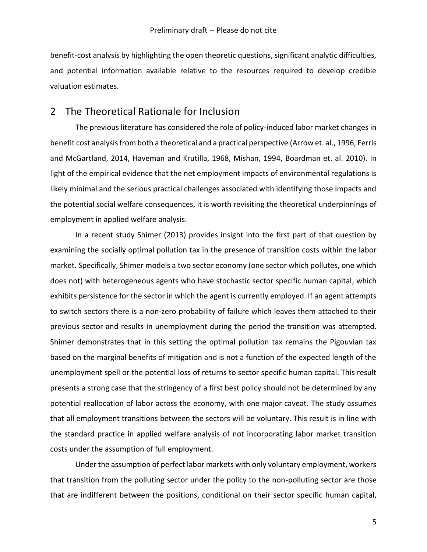benefit-cost analysis by highlighting the open theoretic questions, significant analytic difficulties, and potential information available relative to the resources required to develop credible valuation estimates.

#### 2 The Theoretical Rationale for Inclusion

The previous literature has considered the role of policy-induced labor market changes in benefit cost analysis from both a theoretical and a practical perspective (Arrow et. al., 1996, Ferris and McGartland, 2014, Haveman and Krutilla, 1968, Mishan, 1994, Boardman et. al. 2010). In light of the empirical evidence that the net employment impacts of environmental regulations is likely minimal and the serious practical challenges associated with identifying those impacts and the potential social welfare consequences, it is worth revisiting the theoretical underpinnings of employment in applied welfare analysis.

In a recent study Shimer (2013) provides insight into the first part of that question by examining the socially optimal pollution tax in the presence of transition costs within the labor market. Specifically, Shimer models a two sector economy (one sector which pollutes, one which does not) with heterogeneous agents who have stochastic sector specific human capital, which exhibits persistence for the sector in which the agent is currently employed. If an agent attempts to switch sectors there is a non-zero probability of failure which leaves them attached to their previous sector and results in unemployment during the period the transition was attempted. Shimer demonstrates that in this setting the optimal pollution tax remains the Pigouvian tax based on the marginal benefits of mitigation and is not a function of the expected length of the unemployment spell or the potential loss of returns to sector specific human capital. This result presents a strong case that the stringency of a first best policy should not be determined by any potential reallocation of labor across the economy, with one major caveat. The study assumes that all employment transitions between the sectors will be voluntary. This result is in line with the standard practice in applied welfare analysis of not incorporating labor market transition costs under the assumption of full employment.

Under the assumption of perfect labor markets with only voluntary employment, workers that transition from the polluting sector under the policy to the non-polluting sector are those that are indifferent between the positions, conditional on their sector specific human capital,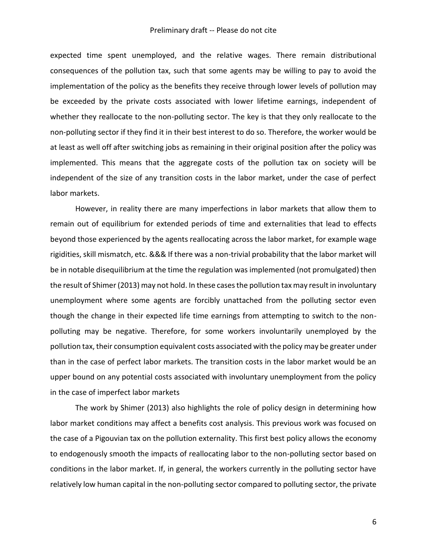expected time spent unemployed, and the relative wages. There remain distributional consequences of the pollution tax, such that some agents may be willing to pay to avoid the implementation of the policy as the benefits they receive through lower levels of pollution may be exceeded by the private costs associated with lower lifetime earnings, independent of whether they reallocate to the non-polluting sector. The key is that they only reallocate to the non-polluting sector if they find it in their best interest to do so. Therefore, the worker would be at least as well off after switching jobs as remaining in their original position after the policy was implemented. This means that the aggregate costs of the pollution tax on society will be independent of the size of any transition costs in the labor market, under the case of perfect labor markets.

However, in reality there are many imperfections in labor markets that allow them to remain out of equilibrium for extended periods of time and externalities that lead to effects beyond those experienced by the agents reallocating across the labor market, for example wage rigidities, skill mismatch, etc. &&& If there was a non-trivial probability that the labor market will be in notable disequilibrium at the time the regulation was implemented (not promulgated) then the result of Shimer (2013) may not hold. In these cases the pollution tax may result in involuntary unemployment where some agents are forcibly unattached from the polluting sector even though the change in their expected life time earnings from attempting to switch to the nonpolluting may be negative. Therefore, for some workers involuntarily unemployed by the pollution tax, their consumption equivalent costs associated with the policy may be greater under than in the case of perfect labor markets. The transition costs in the labor market would be an upper bound on any potential costs associated with involuntary unemployment from the policy in the case of imperfect labor markets

The work by Shimer (2013) also highlights the role of policy design in determining how labor market conditions may affect a benefits cost analysis. This previous work was focused on the case of a Pigouvian tax on the pollution externality. This first best policy allows the economy to endogenously smooth the impacts of reallocating labor to the non-polluting sector based on conditions in the labor market. If, in general, the workers currently in the polluting sector have relatively low human capital in the non-polluting sector compared to polluting sector, the private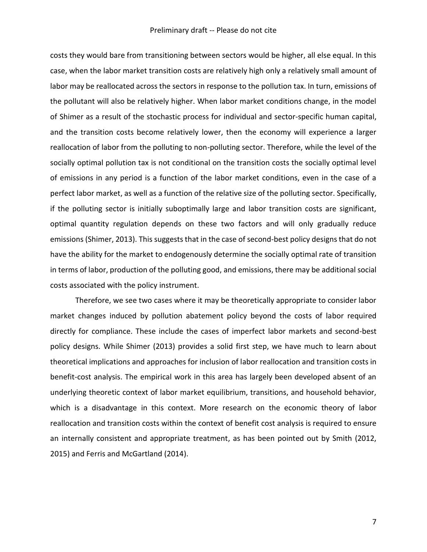costs they would bare from transitioning between sectors would be higher, all else equal. In this case, when the labor market transition costs are relatively high only a relatively small amount of labor may be reallocated across the sectors in response to the pollution tax. In turn, emissions of the pollutant will also be relatively higher. When labor market conditions change, in the model of Shimer as a result of the stochastic process for individual and sector-specific human capital, and the transition costs become relatively lower, then the economy will experience a larger reallocation of labor from the polluting to non-polluting sector. Therefore, while the level of the socially optimal pollution tax is not conditional on the transition costs the socially optimal level of emissions in any period is a function of the labor market conditions, even in the case of a perfect labor market, as well as a function of the relative size of the polluting sector. Specifically, if the polluting sector is initially suboptimally large and labor transition costs are significant, optimal quantity regulation depends on these two factors and will only gradually reduce emissions (Shimer, 2013). This suggests that in the case of second-best policy designs that do not have the ability for the market to endogenously determine the socially optimal rate of transition in terms of labor, production of the polluting good, and emissions, there may be additional social costs associated with the policy instrument.

Therefore, we see two cases where it may be theoretically appropriate to consider labor market changes induced by pollution abatement policy beyond the costs of labor required directly for compliance. These include the cases of imperfect labor markets and second-best policy designs. While Shimer (2013) provides a solid first step, we have much to learn about theoretical implications and approaches for inclusion of labor reallocation and transition costs in benefit-cost analysis. The empirical work in this area has largely been developed absent of an underlying theoretic context of labor market equilibrium, transitions, and household behavior, which is a disadvantage in this context. More research on the economic theory of labor reallocation and transition costs within the context of benefit cost analysis is required to ensure an internally consistent and appropriate treatment, as has been pointed out by Smith (2012, 2015) and Ferris and McGartland (2014).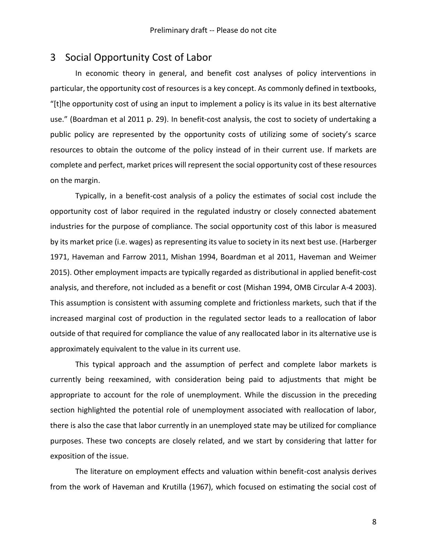### 3 Social Opportunity Cost of Labor

In economic theory in general, and benefit cost analyses of policy interventions in particular, the opportunity cost of resources is a key concept. As commonly defined in textbooks, "[t]he opportunity cost of using an input to implement a policy is its value in its best alternative use." (Boardman et al 2011 p. 29). In benefit-cost analysis, the cost to society of undertaking a public policy are represented by the opportunity costs of utilizing some of society's scarce resources to obtain the outcome of the policy instead of in their current use. If markets are complete and perfect, market prices will represent the social opportunity cost of these resources on the margin.

Typically, in a benefit-cost analysis of a policy the estimates of social cost include the opportunity cost of labor required in the regulated industry or closely connected abatement industries for the purpose of compliance. The social opportunity cost of this labor is measured by its market price (i.e. wages) as representing its value to society in its next best use. (Harberger 1971, Haveman and Farrow 2011, Mishan 1994, Boardman et al 2011, Haveman and Weimer 2015). Other employment impacts are typically regarded as distributional in applied benefit-cost analysis, and therefore, not included as a benefit or cost (Mishan 1994, OMB Circular A-4 2003). This assumption is consistent with assuming complete and frictionless markets, such that if the increased marginal cost of production in the regulated sector leads to a reallocation of labor outside of that required for compliance the value of any reallocated labor in its alternative use is approximately equivalent to the value in its current use.

This typical approach and the assumption of perfect and complete labor markets is currently being reexamined, with consideration being paid to adjustments that might be appropriate to account for the role of unemployment. While the discussion in the preceding section highlighted the potential role of unemployment associated with reallocation of labor, there is also the case that labor currently in an unemployed state may be utilized for compliance purposes. These two concepts are closely related, and we start by considering that latter for exposition of the issue.

The literature on employment effects and valuation within benefit-cost analysis derives from the work of Haveman and Krutilla (1967), which focused on estimating the social cost of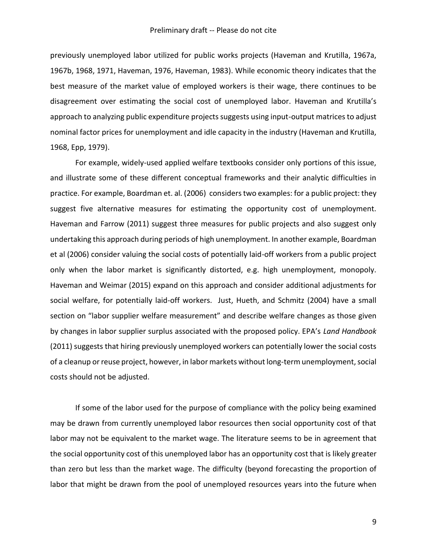previously unemployed labor utilized for public works projects (Haveman and Krutilla, 1967a, 1967b, 1968, 1971, Haveman, 1976, Haveman, 1983). While economic theory indicates that the best measure of the market value of employed workers is their wage, there continues to be disagreement over estimating the social cost of unemployed labor. Haveman and Krutilla's approach to analyzing public expenditure projects suggests using input-output matrices to adjust nominal factor prices for unemployment and idle capacity in the industry (Haveman and Krutilla, 1968, Epp, 1979).

For example, widely-used applied welfare textbooks consider only portions of this issue, and illustrate some of these different conceptual frameworks and their analytic difficulties in practice. For example, Boardman et. al. (2006) considers two examples: for a public project: they suggest five alternative measures for estimating the opportunity cost of unemployment. Haveman and Farrow (2011) suggest three measures for public projects and also suggest only undertaking this approach during periods of high unemployment. In another example, Boardman et al (2006) consider valuing the social costs of potentially laid-off workers from a public project only when the labor market is significantly distorted, e.g. high unemployment, monopoly. Haveman and Weimar (2015) expand on this approach and consider additional adjustments for social welfare, for potentially laid-off workers. Just, Hueth, and Schmitz (2004) have a small section on "labor supplier welfare measurement" and describe welfare changes as those given by changes in labor supplier surplus associated with the proposed policy. EPA's *Land Handbook*  (2011) suggests that hiring previously unemployed workers can potentially lower the social costs of a cleanup or reuse project, however, in labor markets without long-term unemployment, social costs should not be adjusted.

If some of the labor used for the purpose of compliance with the policy being examined may be drawn from currently unemployed labor resources then social opportunity cost of that labor may not be equivalent to the market wage. The literature seems to be in agreement that the social opportunity cost of this unemployed labor has an opportunity cost that is likely greater than zero but less than the market wage. The difficulty (beyond forecasting the proportion of labor that might be drawn from the pool of unemployed resources years into the future when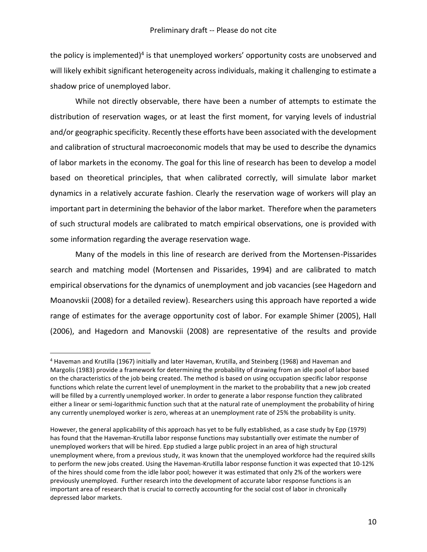the policy is implemented)<sup>4</sup> is that unemployed workers' opportunity costs are unobserved and will likely exhibit significant heterogeneity across individuals, making it challenging to estimate a shadow price of unemployed labor.

While not directly observable, there have been a number of attempts to estimate the distribution of reservation wages, or at least the first moment, for varying levels of industrial and/or geographic specificity. Recently these efforts have been associated with the development and calibration of structural macroeconomic models that may be used to describe the dynamics of labor markets in the economy. The goal for this line of research has been to develop a model based on theoretical principles, that when calibrated correctly, will simulate labor market dynamics in a relatively accurate fashion. Clearly the reservation wage of workers will play an important part in determining the behavior of the labor market. Therefore when the parameters of such structural models are calibrated to match empirical observations, one is provided with some information regarding the average reservation wage.

Many of the models in this line of research are derived from the Mortensen-Pissarides search and matching model (Mortensen and Pissarides, 1994) and are calibrated to match empirical observations for the dynamics of unemployment and job vacancies (see Hagedorn and Moanovskii (2008) for a detailed review). Researchers using this approach have reported a wide range of estimates for the average opportunity cost of labor. For example Shimer (2005), Hall (2006), and Hagedorn and Manovskii (2008) are representative of the results and provide

 $\overline{a}$ 

<sup>4</sup> Haveman and Krutilla (1967) initially and later Haveman, Krutilla, and Steinberg (1968) and Haveman and Margolis (1983) provide a framework for determining the probability of drawing from an idle pool of labor based on the characteristics of the job being created. The method is based on using occupation specific labor response functions which relate the current level of unemployment in the market to the probability that a new job created will be filled by a currently unemployed worker. In order to generate a labor response function they calibrated either a linear or semi-logarithmic function such that at the natural rate of unemployment the probability of hiring any currently unemployed worker is zero, whereas at an unemployment rate of 25% the probability is unity.

However, the general applicability of this approach has yet to be fully established, as a case study by Epp (1979) has found that the Haveman-Krutilla labor response functions may substantially over estimate the number of unemployed workers that will be hired. Epp studied a large public project in an area of high structural unemployment where, from a previous study, it was known that the unemployed workforce had the required skills to perform the new jobs created. Using the Haveman-Krutilla labor response function it was expected that 10-12% of the hires should come from the idle labor pool; however it was estimated that only 2% of the workers were previously unemployed. Further research into the development of accurate labor response functions is an important area of research that is crucial to correctly accounting for the social cost of labor in chronically depressed labor markets.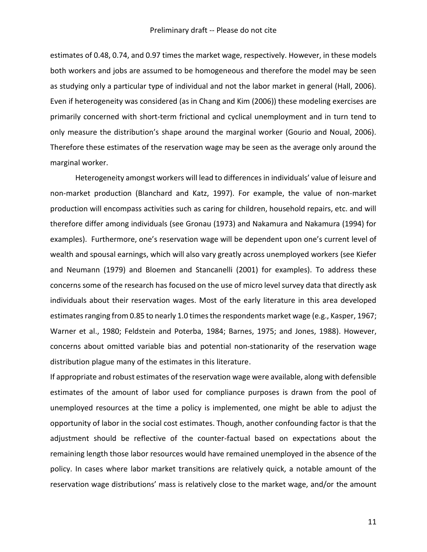estimates of 0.48, 0.74, and 0.97 times the market wage, respectively. However, in these models both workers and jobs are assumed to be homogeneous and therefore the model may be seen as studying only a particular type of individual and not the labor market in general (Hall, 2006). Even if heterogeneity was considered (as in Chang and Kim (2006)) these modeling exercises are primarily concerned with short-term frictional and cyclical unemployment and in turn tend to only measure the distribution's shape around the marginal worker (Gourio and Noual, 2006). Therefore these estimates of the reservation wage may be seen as the average only around the marginal worker.

Heterogeneity amongst workers will lead to differences in individuals' value of leisure and non-market production (Blanchard and Katz, 1997). For example, the value of non-market production will encompass activities such as caring for children, household repairs, etc. and will therefore differ among individuals (see Gronau (1973) and Nakamura and Nakamura (1994) for examples). Furthermore, one's reservation wage will be dependent upon one's current level of wealth and spousal earnings, which will also vary greatly across unemployed workers (see Kiefer and Neumann (1979) and Bloemen and Stancanelli (2001) for examples). To address these concerns some of the research has focused on the use of micro level survey data that directly ask individuals about their reservation wages. Most of the early literature in this area developed estimates ranging from 0.85 to nearly 1.0 times the respondents market wage (e.g., Kasper, 1967; Warner et al., 1980; Feldstein and Poterba, 1984; Barnes, 1975; and Jones, 1988). However, concerns about omitted variable bias and potential non-stationarity of the reservation wage distribution plague many of the estimates in this literature.

If appropriate and robust estimates of the reservation wage were available, along with defensible estimates of the amount of labor used for compliance purposes is drawn from the pool of unemployed resources at the time a policy is implemented, one might be able to adjust the opportunity of labor in the social cost estimates. Though, another confounding factor is that the adjustment should be reflective of the counter-factual based on expectations about the remaining length those labor resources would have remained unemployed in the absence of the policy. In cases where labor market transitions are relatively quick, a notable amount of the reservation wage distributions' mass is relatively close to the market wage, and/or the amount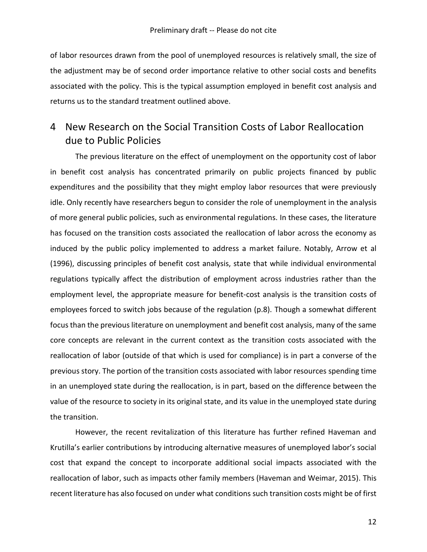of labor resources drawn from the pool of unemployed resources is relatively small, the size of the adjustment may be of second order importance relative to other social costs and benefits associated with the policy. This is the typical assumption employed in benefit cost analysis and returns us to the standard treatment outlined above.

## 4 New Research on the Social Transition Costs of Labor Reallocation due to Public Policies

The previous literature on the effect of unemployment on the opportunity cost of labor in benefit cost analysis has concentrated primarily on public projects financed by public expenditures and the possibility that they might employ labor resources that were previously idle. Only recently have researchers begun to consider the role of unemployment in the analysis of more general public policies, such as environmental regulations. In these cases, the literature has focused on the transition costs associated the reallocation of labor across the economy as induced by the public policy implemented to address a market failure. Notably, Arrow et al (1996), discussing principles of benefit cost analysis, state that while individual environmental regulations typically affect the distribution of employment across industries rather than the employment level, the appropriate measure for benefit-cost analysis is the transition costs of employees forced to switch jobs because of the regulation (p.8). Though a somewhat different focus than the previous literature on unemployment and benefit cost analysis, many of the same core concepts are relevant in the current context as the transition costs associated with the reallocation of labor (outside of that which is used for compliance) is in part a converse of the previous story. The portion of the transition costs associated with labor resources spending time in an unemployed state during the reallocation, is in part, based on the difference between the value of the resource to society in its original state, and its value in the unemployed state during the transition.

However, the recent revitalization of this literature has further refined Haveman and Krutilla's earlier contributions by introducing alternative measures of unemployed labor's social cost that expand the concept to incorporate additional social impacts associated with the reallocation of labor, such as impacts other family members (Haveman and Weimar, 2015). This recent literature has also focused on under what conditions such transition costs might be of first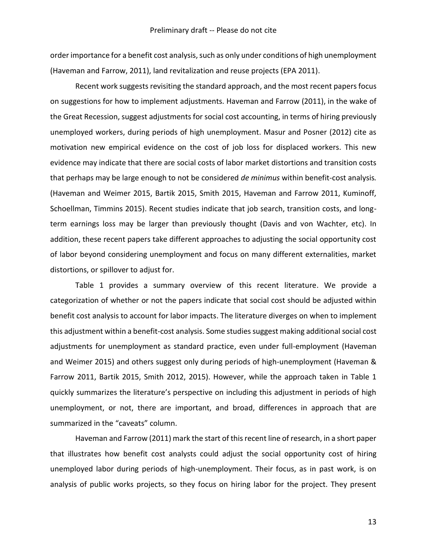order importance for a benefit cost analysis, such as only under conditions of high unemployment (Haveman and Farrow, 2011), land revitalization and reuse projects (EPA 2011).

Recent work suggests revisiting the standard approach, and the most recent papers focus on suggestions for how to implement adjustments. Haveman and Farrow (2011), in the wake of the Great Recession, suggest adjustments for social cost accounting, in terms of hiring previously unemployed workers, during periods of high unemployment. Masur and Posner (2012) cite as motivation new empirical evidence on the cost of job loss for displaced workers. This new evidence may indicate that there are social costs of labor market distortions and transition costs that perhaps may be large enough to not be considered *de minimus* within benefit-cost analysis*.*  (Haveman and Weimer 2015, Bartik 2015, Smith 2015, Haveman and Farrow 2011, Kuminoff, Schoellman, Timmins 2015). Recent studies indicate that job search, transition costs, and longterm earnings loss may be larger than previously thought (Davis and von Wachter, etc). In addition, these recent papers take different approaches to adjusting the social opportunity cost of labor beyond considering unemployment and focus on many different externalities, market distortions, or spillover to adjust for.

Table 1 provides a summary overview of this recent literature. We provide a categorization of whether or not the papers indicate that social cost should be adjusted within benefit cost analysis to account for labor impacts. The literature diverges on when to implement this adjustment within a benefit-cost analysis. Some studies suggest making additional social cost adjustments for unemployment as standard practice, even under full-employment (Haveman and Weimer 2015) and others suggest only during periods of high-unemployment (Haveman & Farrow 2011, Bartik 2015, Smith 2012, 2015). However, while the approach taken in Table 1 quickly summarizes the literature's perspective on including this adjustment in periods of high unemployment, or not, there are important, and broad, differences in approach that are summarized in the "caveats" column.

Haveman and Farrow (2011) mark the start of this recent line of research, in a short paper that illustrates how benefit cost analysts could adjust the social opportunity cost of hiring unemployed labor during periods of high-unemployment. Their focus, as in past work, is on analysis of public works projects, so they focus on hiring labor for the project. They present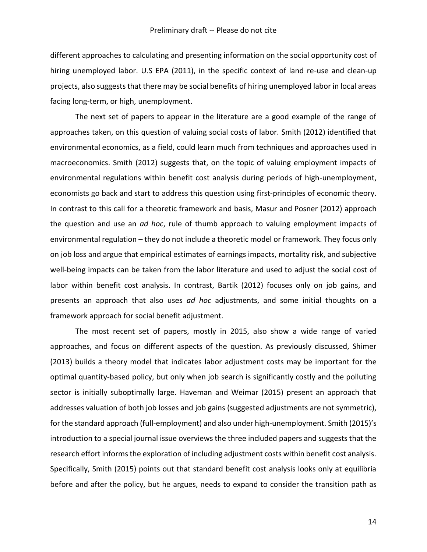different approaches to calculating and presenting information on the social opportunity cost of hiring unemployed labor. U.S EPA (2011), in the specific context of land re-use and clean-up projects, also suggests that there may be social benefits of hiring unemployed labor in local areas facing long-term, or high, unemployment.

The next set of papers to appear in the literature are a good example of the range of approaches taken, on this question of valuing social costs of labor. Smith (2012) identified that environmental economics, as a field, could learn much from techniques and approaches used in macroeconomics. Smith (2012) suggests that, on the topic of valuing employment impacts of environmental regulations within benefit cost analysis during periods of high-unemployment, economists go back and start to address this question using first-principles of economic theory. In contrast to this call for a theoretic framework and basis, Masur and Posner (2012) approach the question and use an *ad hoc*, rule of thumb approach to valuing employment impacts of environmental regulation – they do not include a theoretic model or framework. They focus only on job loss and argue that empirical estimates of earnings impacts, mortality risk, and subjective well-being impacts can be taken from the labor literature and used to adjust the social cost of labor within benefit cost analysis. In contrast, Bartik (2012) focuses only on job gains, and presents an approach that also uses *ad hoc* adjustments, and some initial thoughts on a framework approach for social benefit adjustment.

The most recent set of papers, mostly in 2015, also show a wide range of varied approaches, and focus on different aspects of the question. As previously discussed, Shimer (2013) builds a theory model that indicates labor adjustment costs may be important for the optimal quantity-based policy, but only when job search is significantly costly and the polluting sector is initially suboptimally large. Haveman and Weimar (2015) present an approach that addresses valuation of both job losses and job gains (suggested adjustments are not symmetric), for the standard approach (full-employment) and also under high-unemployment. Smith (2015)'s introduction to a special journal issue overviews the three included papers and suggests that the research effort informs the exploration of including adjustment costs within benefit cost analysis. Specifically, Smith (2015) points out that standard benefit cost analysis looks only at equilibria before and after the policy, but he argues, needs to expand to consider the transition path as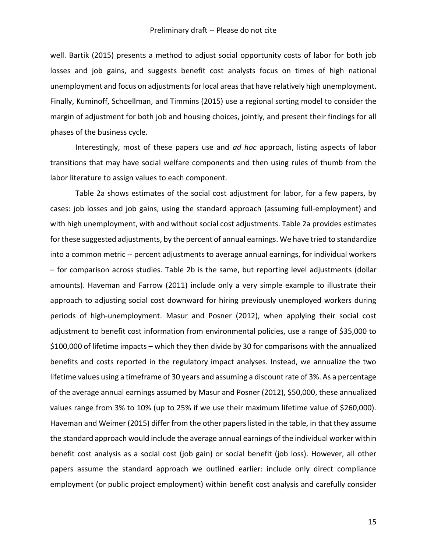well. Bartik (2015) presents a method to adjust social opportunity costs of labor for both job losses and job gains, and suggests benefit cost analysts focus on times of high national unemployment and focus on adjustments for local areas that have relatively high unemployment. Finally, Kuminoff, Schoellman, and Timmins (2015) use a regional sorting model to consider the margin of adjustment for both job and housing choices, jointly, and present their findings for all phases of the business cycle.

Interestingly, most of these papers use and *ad hoc* approach, listing aspects of labor transitions that may have social welfare components and then using rules of thumb from the labor literature to assign values to each component.

Table 2a shows estimates of the social cost adjustment for labor, for a few papers, by cases: job losses and job gains, using the standard approach (assuming full-employment) and with high unemployment, with and without social cost adjustments. Table 2a provides estimates for these suggested adjustments, by the percent of annual earnings. We have tried to standardize into a common metric -- percent adjustments to average annual earnings, for individual workers – for comparison across studies. Table 2b is the same, but reporting level adjustments (dollar amounts). Haveman and Farrow (2011) include only a very simple example to illustrate their approach to adjusting social cost downward for hiring previously unemployed workers during periods of high-unemployment. Masur and Posner (2012), when applying their social cost adjustment to benefit cost information from environmental policies, use a range of \$35,000 to \$100,000 of lifetime impacts – which they then divide by 30 for comparisons with the annualized benefits and costs reported in the regulatory impact analyses. Instead, we annualize the two lifetime values using a timeframe of 30 years and assuming a discount rate of 3%. As a percentage of the average annual earnings assumed by Masur and Posner (2012), \$50,000, these annualized values range from 3% to 10% (up to 25% if we use their maximum lifetime value of \$260,000). Haveman and Weimer (2015) differ from the other papers listed in the table, in that they assume the standard approach would include the average annual earnings of the individual worker within benefit cost analysis as a social cost (job gain) or social benefit (job loss). However, all other papers assume the standard approach we outlined earlier: include only direct compliance employment (or public project employment) within benefit cost analysis and carefully consider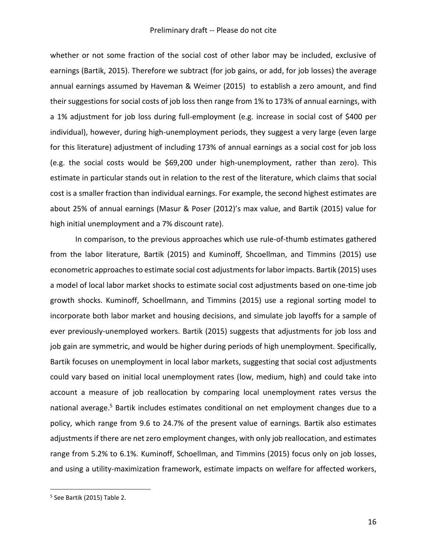whether or not some fraction of the social cost of other labor may be included, exclusive of earnings (Bartik, 2015). Therefore we subtract (for job gains, or add, for job losses) the average annual earnings assumed by Haveman & Weimer (2015) to establish a zero amount, and find their suggestions for social costs of job loss then range from 1% to 173% of annual earnings, with a 1% adjustment for job loss during full-employment (e.g. increase in social cost of \$400 per individual), however, during high-unemployment periods, they suggest a very large (even large for this literature) adjustment of including 173% of annual earnings as a social cost for job loss (e.g. the social costs would be \$69,200 under high-unemployment, rather than zero). This estimate in particular stands out in relation to the rest of the literature, which claims that social cost is a smaller fraction than individual earnings. For example, the second highest estimates are about 25% of annual earnings (Masur & Poser (2012)'s max value, and Bartik (2015) value for high initial unemployment and a 7% discount rate).

In comparison, to the previous approaches which use rule-of-thumb estimates gathered from the labor literature, Bartik (2015) and Kuminoff, Shcoellman, and Timmins (2015) use econometric approaches to estimate social cost adjustments for labor impacts. Bartik (2015) uses a model of local labor market shocks to estimate social cost adjustments based on one-time job growth shocks. Kuminoff, Schoellmann, and Timmins (2015) use a regional sorting model to incorporate both labor market and housing decisions, and simulate job layoffs for a sample of ever previously-unemployed workers. Bartik (2015) suggests that adjustments for job loss and job gain are symmetric, and would be higher during periods of high unemployment. Specifically, Bartik focuses on unemployment in local labor markets, suggesting that social cost adjustments could vary based on initial local unemployment rates (low, medium, high) and could take into account a measure of job reallocation by comparing local unemployment rates versus the national average.<sup>5</sup> Bartik includes estimates conditional on net employment changes due to a policy, which range from 9.6 to 24.7% of the present value of earnings. Bartik also estimates adjustments if there are net zero employment changes, with only job reallocation, and estimates range from 5.2% to 6.1%. Kuminoff, Schoellman, and Timmins (2015) focus only on job losses, and using a utility-maximization framework, estimate impacts on welfare for affected workers,

 $\overline{a}$ 

<sup>5</sup> See Bartik (2015) Table 2.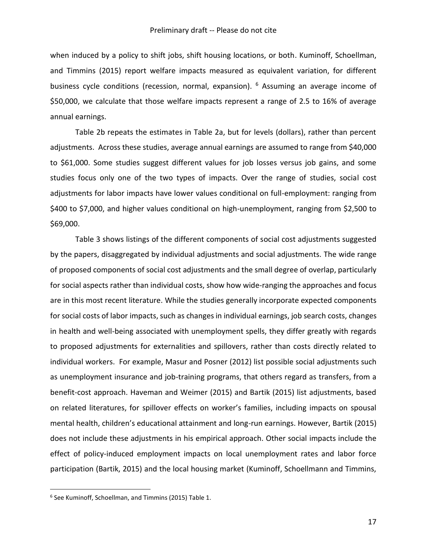when induced by a policy to shift jobs, shift housing locations, or both. Kuminoff, Schoellman, and Timmins (2015) report welfare impacts measured as equivalent variation, for different business cycle conditions (recession, normal, expansion). <sup>6</sup> Assuming an average income of \$50,000, we calculate that those welfare impacts represent a range of 2.5 to 16% of average annual earnings.

Table 2b repeats the estimates in Table 2a, but for levels (dollars), rather than percent adjustments. Across these studies, average annual earnings are assumed to range from \$40,000 to \$61,000. Some studies suggest different values for job losses versus job gains, and some studies focus only one of the two types of impacts. Over the range of studies, social cost adjustments for labor impacts have lower values conditional on full-employment: ranging from \$400 to \$7,000, and higher values conditional on high-unemployment, ranging from \$2,500 to \$69,000.

Table 3 shows listings of the different components of social cost adjustments suggested by the papers, disaggregated by individual adjustments and social adjustments. The wide range of proposed components of social cost adjustments and the small degree of overlap, particularly for social aspects rather than individual costs, show how wide-ranging the approaches and focus are in this most recent literature. While the studies generally incorporate expected components for social costs of labor impacts, such as changes in individual earnings, job search costs, changes in health and well-being associated with unemployment spells, they differ greatly with regards to proposed adjustments for externalities and spillovers, rather than costs directly related to individual workers. For example, Masur and Posner (2012) list possible social adjustments such as unemployment insurance and job-training programs, that others regard as transfers, from a benefit-cost approach. Haveman and Weimer (2015) and Bartik (2015) list adjustments, based on related literatures, for spillover effects on worker's families, including impacts on spousal mental health, children's educational attainment and long-run earnings. However, Bartik (2015) does not include these adjustments in his empirical approach. Other social impacts include the effect of policy-induced employment impacts on local unemployment rates and labor force participation (Bartik, 2015) and the local housing market (Kuminoff, Schoellmann and Timmins,

 $\overline{a}$ 

<sup>6</sup> See Kuminoff, Schoellman, and Timmins (2015) Table 1.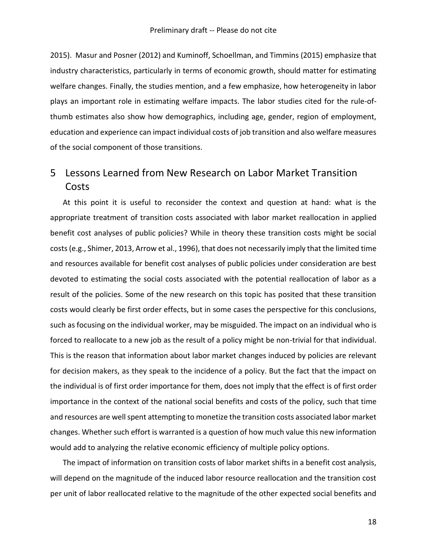2015). Masur and Posner (2012) and Kuminoff, Schoellman, and Timmins (2015) emphasize that industry characteristics, particularly in terms of economic growth, should matter for estimating welfare changes. Finally, the studies mention, and a few emphasize, how heterogeneity in labor plays an important role in estimating welfare impacts. The labor studies cited for the rule-ofthumb estimates also show how demographics, including age, gender, region of employment, education and experience can impact individual costs of job transition and also welfare measures of the social component of those transitions.

## 5 Lessons Learned from New Research on Labor Market Transition Costs

At this point it is useful to reconsider the context and question at hand: what is the appropriate treatment of transition costs associated with labor market reallocation in applied benefit cost analyses of public policies? While in theory these transition costs might be social costs (e.g., Shimer, 2013, Arrow et al., 1996), that does not necessarily imply that the limited time and resources available for benefit cost analyses of public policies under consideration are best devoted to estimating the social costs associated with the potential reallocation of labor as a result of the policies. Some of the new research on this topic has posited that these transition costs would clearly be first order effects, but in some cases the perspective for this conclusions, such as focusing on the individual worker, may be misguided. The impact on an individual who is forced to reallocate to a new job as the result of a policy might be non-trivial for that individual. This is the reason that information about labor market changes induced by policies are relevant for decision makers, as they speak to the incidence of a policy. But the fact that the impact on the individual is of first order importance for them, does not imply that the effect is of first order importance in the context of the national social benefits and costs of the policy, such that time and resources are well spent attempting to monetize the transition costs associated labor market changes. Whether such effort is warranted is a question of how much value this new information would add to analyzing the relative economic efficiency of multiple policy options.

The impact of information on transition costs of labor market shifts in a benefit cost analysis, will depend on the magnitude of the induced labor resource reallocation and the transition cost per unit of labor reallocated relative to the magnitude of the other expected social benefits and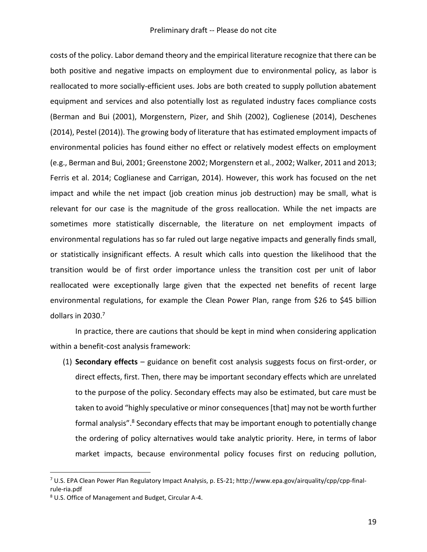costs of the policy. Labor demand theory and the empirical literature recognize that there can be both positive and negative impacts on employment due to environmental policy, as labor is reallocated to more socially-efficient uses. Jobs are both created to supply pollution abatement equipment and services and also potentially lost as regulated industry faces compliance costs (Berman and Bui (2001), Morgenstern, Pizer, and Shih (2002), Coglienese (2014), Deschenes (2014), Pestel (2014)). The growing body of literature that has estimated employment impacts of environmental policies has found either no effect or relatively modest effects on employment (e.g., Berman and Bui, 2001; Greenstone 2002; Morgenstern et al., 2002; Walker, 2011 and 2013; Ferris et al. 2014; Coglianese and Carrigan, 2014). However, this work has focused on the net impact and while the net impact (job creation minus job destruction) may be small, what is relevant for our case is the magnitude of the gross reallocation. While the net impacts are sometimes more statistically discernable, the literature on net employment impacts of environmental regulations has so far ruled out large negative impacts and generally finds small, or statistically insignificant effects. A result which calls into question the likelihood that the transition would be of first order importance unless the transition cost per unit of labor reallocated were exceptionally large given that the expected net benefits of recent large environmental regulations, for example the Clean Power Plan, range from \$26 to \$45 billion dollars in 2030.<sup>7</sup>

In practice, there are cautions that should be kept in mind when considering application within a benefit-cost analysis framework:

(1) **Secondary effects** – guidance on benefit cost analysis suggests focus on first-order, or direct effects, first. Then, there may be important secondary effects which are unrelated to the purpose of the policy. Secondary effects may also be estimated, but care must be taken to avoid "highly speculative or minor consequences [that] may not be worth further formal analysis".<sup>8</sup> Secondary effects that may be important enough to potentially change the ordering of policy alternatives would take analytic priority. Here, in terms of labor market impacts, because environmental policy focuses first on reducing pollution,

 $\overline{a}$ 

<sup>7</sup> U.S. EPA Clean Power Plan Regulatory Impact Analysis, p. ES-21; http://www.epa.gov/airquality/cpp/cpp-finalrule-ria.pdf

<sup>8</sup> U.S. Office of Management and Budget, Circular A-4.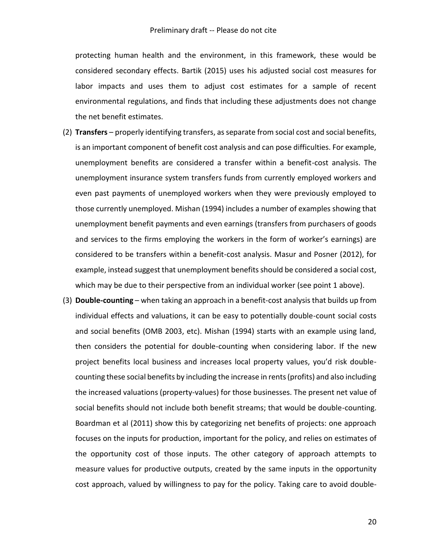protecting human health and the environment, in this framework, these would be considered secondary effects. Bartik (2015) uses his adjusted social cost measures for labor impacts and uses them to adjust cost estimates for a sample of recent environmental regulations, and finds that including these adjustments does not change the net benefit estimates.

- (2) **Transfers** properly identifying transfers, as separate from social cost and social benefits, is an important component of benefit cost analysis and can pose difficulties. For example, unemployment benefits are considered a transfer within a benefit-cost analysis. The unemployment insurance system transfers funds from currently employed workers and even past payments of unemployed workers when they were previously employed to those currently unemployed. Mishan (1994) includes a number of examples showing that unemployment benefit payments and even earnings (transfers from purchasers of goods and services to the firms employing the workers in the form of worker's earnings) are considered to be transfers within a benefit-cost analysis. Masur and Posner (2012), for example, instead suggest that unemployment benefits should be considered a social cost, which may be due to their perspective from an individual worker (see point 1 above).
- (3) **Double-counting** when taking an approach in a benefit-cost analysis that builds up from individual effects and valuations, it can be easy to potentially double-count social costs and social benefits (OMB 2003, etc). Mishan (1994) starts with an example using land, then considers the potential for double-counting when considering labor. If the new project benefits local business and increases local property values, you'd risk doublecounting these social benefits by including the increase in rents (profits) and also including the increased valuations (property-values) for those businesses. The present net value of social benefits should not include both benefit streams; that would be double-counting. Boardman et al (2011) show this by categorizing net benefits of projects: one approach focuses on the inputs for production, important for the policy, and relies on estimates of the opportunity cost of those inputs. The other category of approach attempts to measure values for productive outputs, created by the same inputs in the opportunity cost approach, valued by willingness to pay for the policy. Taking care to avoid double-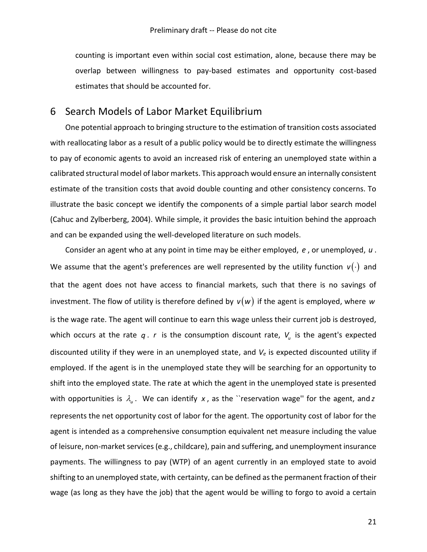counting is important even within social cost estimation, alone, because there may be overlap between willingness to pay-based estimates and opportunity cost-based estimates that should be accounted for.

### 6 Search Models of Labor Market Equilibrium

One potential approach to bringing structure to the estimation of transition costs associated with reallocating labor as a result of a public policy would be to directly estimate the willingness to pay of economic agents to avoid an increased risk of entering an unemployed state within a calibrated structural model of labor markets. This approach would ensure an internally consistent estimate of the transition costs that avoid double counting and other consistency concerns. To illustrate the basic concept we identify the components of a simple partial labor search model (Cahuc and Zylberberg, 2004). While simple, it provides the basic intuition behind the approach and can be expanded using the well-developed literature on such models.

Consider an agent who at any point in time may be either employed, *e* , or unemployed, *u* . We assume that the agent's preferences are well represented by the utility function  $v(\cdot)$  and that the agent does not have access to financial markets, such that there is no savings of investment. The flow of utility is therefore defined by  $v(w)$  if the agent is employed, where w is the wage rate. The agent will continue to earn this wage unless their current job is destroyed, which occurs at the rate  $q$ .  $r$  is the consumption discount rate,  $V_{u}$  is the agent's expected discounted utility if they were in an unemployed state, and *V<sup>e</sup>* is expected discounted utility if employed. If the agent is in the unemployed state they will be searching for an opportunity to shift into the employed state. The rate at which the agent in the unemployed state is presented with opportunities is  $\lambda_{\omega}$ . We can identify x, as the ``reservation wage'' for the agent, and z represents the net opportunity cost of labor for the agent. The opportunity cost of labor for the agent is intended as a comprehensive consumption equivalent net measure including the value of leisure, non-market services (e.g., childcare), pain and suffering, and unemployment insurance payments. The willingness to pay (WTP) of an agent currently in an employed state to avoid shifting to an unemployed state, with certainty, can be defined as the permanent fraction of their wage (as long as they have the job) that the agent would be willing to forgo to avoid a certain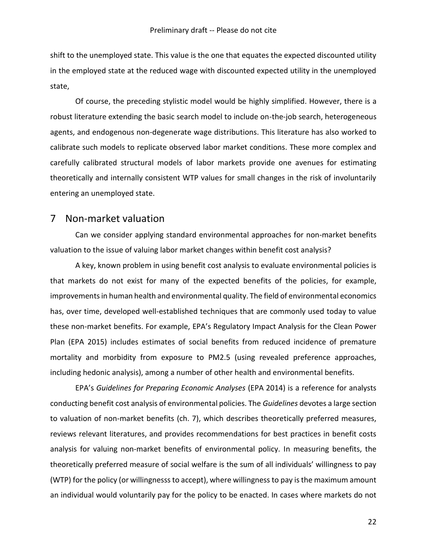shift to the unemployed state. This value is the one that equates the expected discounted utility in the employed state at the reduced wage with discounted expected utility in the unemployed state,

Of course, the preceding stylistic model would be highly simplified. However, there is a robust literature extending the basic search model to include on-the-job search, heterogeneous agents, and endogenous non-degenerate wage distributions. This literature has also worked to calibrate such models to replicate observed labor market conditions. These more complex and carefully calibrated structural models of labor markets provide one avenues for estimating theoretically and internally consistent WTP values for small changes in the risk of involuntarily entering an unemployed state.

### 7 Non-market valuation

Can we consider applying standard environmental approaches for non-market benefits valuation to the issue of valuing labor market changes within benefit cost analysis?

A key, known problem in using benefit cost analysis to evaluate environmental policies is that markets do not exist for many of the expected benefits of the policies, for example, improvements in human health and environmental quality. The field of environmental economics has, over time, developed well-established techniques that are commonly used today to value these non-market benefits. For example, EPA's Regulatory Impact Analysis for the Clean Power Plan (EPA 2015) includes estimates of social benefits from reduced incidence of premature mortality and morbidity from exposure to PM2.5 (using revealed preference approaches, including hedonic analysis), among a number of other health and environmental benefits.

EPA's *Guidelines for Preparing Economic Analyses* (EPA 2014) is a reference for analysts conducting benefit cost analysis of environmental policies. The *Guidelines* devotes a large section to valuation of non-market benefits (ch. 7), which describes theoretically preferred measures, reviews relevant literatures, and provides recommendations for best practices in benefit costs analysis for valuing non-market benefits of environmental policy. In measuring benefits, the theoretically preferred measure of social welfare is the sum of all individuals' willingness to pay (WTP) for the policy (or willingnesss to accept), where willingness to pay is the maximum amount an individual would voluntarily pay for the policy to be enacted. In cases where markets do not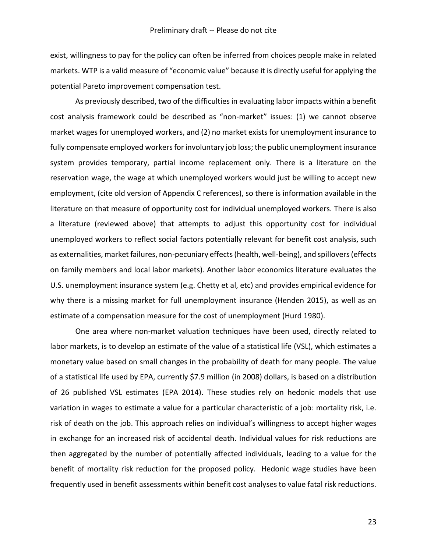exist, willingness to pay for the policy can often be inferred from choices people make in related markets. WTP is a valid measure of "economic value" because it is directly useful for applying the potential Pareto improvement compensation test.

As previously described, two of the difficulties in evaluating labor impacts within a benefit cost analysis framework could be described as "non-market" issues: (1) we cannot observe market wages for unemployed workers, and (2) no market exists for unemployment insurance to fully compensate employed workers for involuntary job loss; the public unemployment insurance system provides temporary, partial income replacement only. There is a literature on the reservation wage, the wage at which unemployed workers would just be willing to accept new employment, (cite old version of Appendix C references), so there is information available in the literature on that measure of opportunity cost for individual unemployed workers. There is also a literature (reviewed above) that attempts to adjust this opportunity cost for individual unemployed workers to reflect social factors potentially relevant for benefit cost analysis, such as externalities, market failures, non-pecuniary effects (health, well-being), and spillovers (effects on family members and local labor markets). Another labor economics literature evaluates the U.S. unemployment insurance system (e.g. Chetty et al, etc) and provides empirical evidence for why there is a missing market for full unemployment insurance (Henden 2015), as well as an estimate of a compensation measure for the cost of unemployment (Hurd 1980).

One area where non-market valuation techniques have been used, directly related to labor markets, is to develop an estimate of the value of a statistical life (VSL), which estimates a monetary value based on small changes in the probability of death for many people. The value of a statistical life used by EPA, currently \$7.9 million (in 2008) dollars, is based on a distribution of 26 published VSL estimates (EPA 2014). These studies rely on hedonic models that use variation in wages to estimate a value for a particular characteristic of a job: mortality risk, i.e. risk of death on the job. This approach relies on individual's willingness to accept higher wages in exchange for an increased risk of accidental death. Individual values for risk reductions are then aggregated by the number of potentially affected individuals, leading to a value for the benefit of mortality risk reduction for the proposed policy. Hedonic wage studies have been frequently used in benefit assessments within benefit cost analyses to value fatal risk reductions.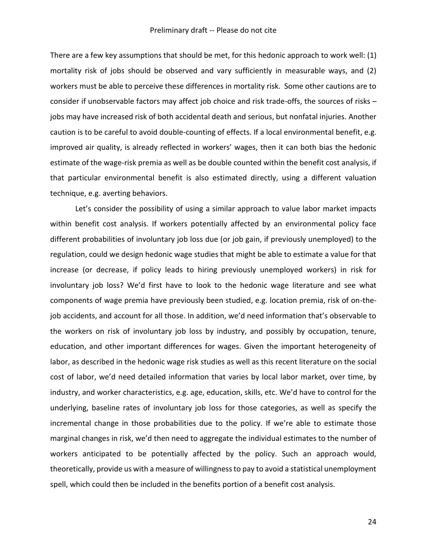There are a few key assumptions that should be met, for this hedonic approach to work well: (1) mortality risk of jobs should be observed and vary sufficiently in measurable ways, and (2) workers must be able to perceive these differences in mortality risk. Some other cautions are to consider if unobservable factors may affect job choice and risk trade-offs, the sources of risks – jobs may have increased risk of both accidental death and serious, but nonfatal injuries. Another caution is to be careful to avoid double-counting of effects. If a local environmental benefit, e.g. improved air quality, is already reflected in workers' wages, then it can both bias the hedonic estimate of the wage-risk premia as well as be double counted within the benefit cost analysis, if that particular environmental benefit is also estimated directly, using a different valuation technique, e.g. averting behaviors.

Let's consider the possibility of using a similar approach to value labor market impacts within benefit cost analysis. If workers potentially affected by an environmental policy face different probabilities of involuntary job loss due (or job gain, if previously unemployed) to the regulation, could we design hedonic wage studies that might be able to estimate a value for that increase (or decrease, if policy leads to hiring previously unemployed workers) in risk for involuntary job loss? We'd first have to look to the hedonic wage literature and see what components of wage premia have previously been studied, e.g. location premia, risk of on-thejob accidents, and account for all those. In addition, we'd need information that's observable to the workers on risk of involuntary job loss by industry, and possibly by occupation, tenure, education, and other important differences for wages. Given the important heterogeneity of labor, as described in the hedonic wage risk studies as well as this recent literature on the social cost of labor, we'd need detailed information that varies by local labor market, over time, by industry, and worker characteristics, e.g. age, education, skills, etc. We'd have to control for the underlying, baseline rates of involuntary job loss for those categories, as well as specify the incremental change in those probabilities due to the policy. If we're able to estimate those marginal changes in risk, we'd then need to aggregate the individual estimates to the number of workers anticipated to be potentially affected by the policy. Such an approach would, theoretically, provide us with a measure of willingness to pay to avoid a statistical unemployment spell, which could then be included in the benefits portion of a benefit cost analysis.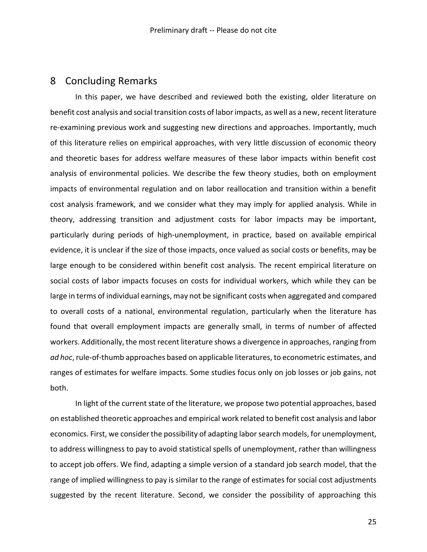### 8 Concluding Remarks

In this paper, we have described and reviewed both the existing, older literature on benefit cost analysis and social transition costs of labor impacts, as well as a new, recent literature re-examining previous work and suggesting new directions and approaches. Importantly, much of this literature relies on empirical approaches, with very little discussion of economic theory and theoretic bases for address welfare measures of these labor impacts within benefit cost analysis of environmental policies. We describe the few theory studies, both on employment impacts of environmental regulation and on labor reallocation and transition within a benefit cost analysis framework, and we consider what they may imply for applied analysis. While in theory, addressing transition and adjustment costs for labor impacts may be important, particularly during periods of high-unemployment, in practice, based on available empirical evidence, it is unclear if the size of those impacts, once valued as social costs or benefits, may be large enough to be considered within benefit cost analysis. The recent empirical literature on social costs of labor impacts focuses on costs for individual workers, which while they can be large in terms of individual earnings, may not be significant costs when aggregated and compared to overall costs of a national, environmental regulation, particularly when the literature has found that overall employment impacts are generally small, in terms of number of affected workers. Additionally, the most recent literature shows a divergence in approaches, ranging from *ad hoc*, rule-of-thumb approaches based on applicable literatures, to econometric estimates, and ranges of estimates for welfare impacts. Some studies focus only on job losses or job gains, not both.

In light of the current state of the literature, we propose two potential approaches, based on established theoretic approaches and empirical work related to benefit cost analysis and labor economics. First, we consider the possibility of adapting labor search models, for unemployment, to address willingness to pay to avoid statistical spells of unemployment, rather than willingness to accept job offers. We find, adapting a simple version of a standard job search model, that the range of implied willingness to pay is similar to the range of estimates for social cost adjustments suggested by the recent literature. Second, we consider the possibility of approaching this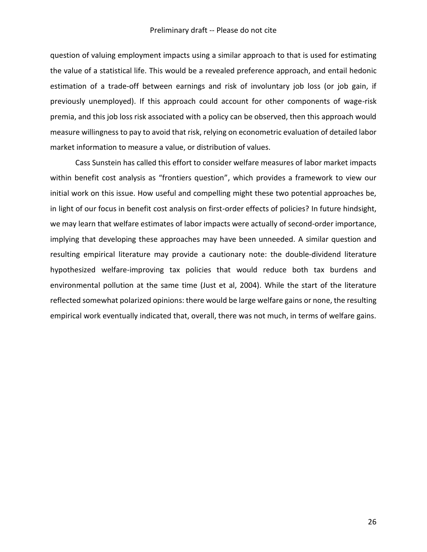question of valuing employment impacts using a similar approach to that is used for estimating the value of a statistical life. This would be a revealed preference approach, and entail hedonic estimation of a trade-off between earnings and risk of involuntary job loss (or job gain, if previously unemployed). If this approach could account for other components of wage-risk premia, and this job loss risk associated with a policy can be observed, then this approach would measure willingness to pay to avoid that risk, relying on econometric evaluation of detailed labor market information to measure a value, or distribution of values.

Cass Sunstein has called this effort to consider welfare measures of labor market impacts within benefit cost analysis as "frontiers question", which provides a framework to view our initial work on this issue. How useful and compelling might these two potential approaches be, in light of our focus in benefit cost analysis on first-order effects of policies? In future hindsight, we may learn that welfare estimates of labor impacts were actually of second-order importance, implying that developing these approaches may have been unneeded. A similar question and resulting empirical literature may provide a cautionary note: the double-dividend literature hypothesized welfare-improving tax policies that would reduce both tax burdens and environmental pollution at the same time (Just et al, 2004). While the start of the literature reflected somewhat polarized opinions: there would be large welfare gains or none, the resulting empirical work eventually indicated that, overall, there was not much, in terms of welfare gains.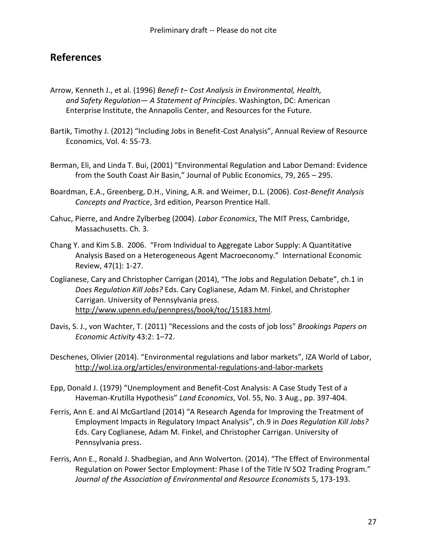### **References**

- Arrow, Kenneth J., et al. (1996) *Benefi t– Cost Analysis in Environmental, Health, and Safety Regulation— A Statement of Principles*. Washington, DC: American Enterprise Institute, the Annapolis Center, and Resources for the Future.
- Bartik, Timothy J. (2012) "Including Jobs in Benefit-Cost Analysis", Annual Review of Resource Economics, Vol. 4: 55-73.
- Berman, Eli, and Linda T. Bui, (2001) "Environmental Regulation and Labor Demand: Evidence from the South Coast Air Basin," Journal of Public Economics, 79, 265 – 295.
- Boardman, E.A., Greenberg, D.H., Vining, A.R. and Weimer, D.L. (2006). *Cost-Benefit Analysis Concepts and Practice*, 3rd edition, Pearson Prentice Hall.
- Cahuc, Pierre, and Andre Zylberbeg (2004). *Labor Economics*, The MIT Press, Cambridge, Massachusetts. Ch. 3.
- Chang Y. and Kim S.B. 2006. "From Individual to Aggregate Labor Supply: A Quantitative Analysis Based on a Heterogeneous Agent Macroeconomy." International Economic Review, 47(1): 1-27.
- Coglianese, Cary and Christopher Carrigan (2014), "The Jobs and Regulation Debate", ch.1 in *Does Regulation Kill Jobs?* Eds. Cary Coglianese, Adam M. Finkel, and Christopher Carrigan. University of Pennsylvania press. [http://www.upenn.edu/pennpress/book/toc/15183.html.](http://www.upenn.edu/pennpress/book/toc/15183.html)
- Davis, S. J., von Wachter, T. (2011) "Recessions and the costs of job loss" *Brookings Papers on Economic Activity* 43:2: 1–72.
- Deschenes, Olivier (2014). "Environmental regulations and labor markets", IZA World of Labor, <http://wol.iza.org/articles/environmental-regulations-and-labor-markets>
- Epp, Donald J. (1979) "Unemployment and Benefit-Cost Analysis: A Case Study Test of a Haveman-Krutilla Hypothesis" *Land Economics*, Vol. 55, No. 3 Aug., pp. 397-404.
- Ferris, Ann E. and Al McGartland (2014) "A Research Agenda for Improving the Treatment of Employment Impacts in Regulatory Impact Analysis", ch.9 in *Does Regulation Kill Jobs?* Eds. Cary Coglianese, Adam M. Finkel, and Christopher Carrigan. University of Pennsylvania press.
- Ferris, Ann E., Ronald J. Shadbegian, and Ann Wolverton. (2014). "The Effect of Environmental Regulation on Power Sector Employment: Phase I of the Title IV SO2 Trading Program." *Journal of the Association of Environmental and Resource Economists* 5, 173-193.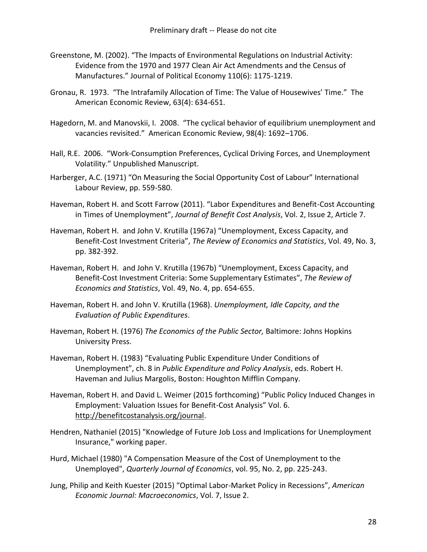- Greenstone, M. (2002). "The Impacts of Environmental Regulations on Industrial Activity: Evidence from the 1970 and 1977 Clean Air Act Amendments and the Census of Manufactures." Journal of Political Economy 110(6): 1175-1219.
- Gronau, R. 1973. "The Intrafamily Allocation of Time: The Value of Housewives' Time." The American Economic Review, 63(4): 634-651.
- Hagedorn, M. and Manovskii, I. 2008. "The cyclical behavior of equilibrium unemployment and vacancies revisited." American Economic Review, 98(4): 1692–1706.
- Hall, R.E. 2006. "Work-Consumption Preferences, Cyclical Driving Forces, and Unemployment Volatility." Unpublished Manuscript.
- Harberger, A.C. (1971) "On Measuring the Social Opportunity Cost of Labour" International Labour Review, pp. 559-580.
- Haveman, Robert H. and Scott Farrow (2011). "Labor Expenditures and Benefit-Cost Accounting in Times of Unemployment", *Journal of Benefit Cost Analysis*, Vol. 2, Issue 2, Article 7.
- Haveman, Robert H. and John V. Krutilla (1967a) "Unemployment, Excess Capacity, and Benefit-Cost Investment Criteria", *The Review of Economics and Statistics*, Vol. 49, No. 3, pp. 382-392.
- Haveman, Robert H. and John V. Krutilla (1967b) "Unemployment, Excess Capacity, and Benefit-Cost Investment Criteria: Some Supplementary Estimates", *The Review of Economics and Statistics*, Vol. 49, No. 4, pp. 654-655.
- Haveman, Robert H. and John V. Krutilla (1968). *[Unemployment, Idle Capcity, and the](http://www.amazon.com/Unemployment-Capcity-Evaluation-Public-Expenditures/dp/B000TTBH2C/ref=la_B00IWBW7V4_1_1?s=books&ie=UTF8&qid=1429492942&sr=1-1)  [Evaluation of Public Expenditures](http://www.amazon.com/Unemployment-Capcity-Evaluation-Public-Expenditures/dp/B000TTBH2C/ref=la_B00IWBW7V4_1_1?s=books&ie=UTF8&qid=1429492942&sr=1-1)*.
- Haveman, Robert H. (1976) *The Economics of the Public Sector,* Baltimore: Johns Hopkins University Press.
- Haveman, Robert H. (1983) "Evaluating Public Expenditure Under Conditions of Unemployment", ch. 8 in *Public Expenditure and Policy Analysis*, eds. Robert H. Haveman and Julius Margolis, Boston: Houghton Mifflin Company.
- Haveman, Robert H. and David L. Weimer (2015 forthcoming) "Public Policy Induced Changes in Employment: Valuation Issues for Benefit-Cost Analysis" Vol. 6. [http://benefitcostanalysis.org/journal.](http://benefitcostanalysis.org/journal)
- Hendren, Nathaniel (2015) "Knowledge of Future Job Loss and Implications for Unemployment Insurance," working paper.
- Hurd, Michael (1980) "A Compensation Measure of the Cost of Unemployment to the Unemployed", *Quarterly Journal of Economics*, vol. 95, No. 2, pp. 225-243.
- Jung, Philip and Keith Kuester (2015) "Optimal Labor-Market Policy in Recessions", *American Economic Journal: Macroeconomics*, Vol. 7, Issue 2.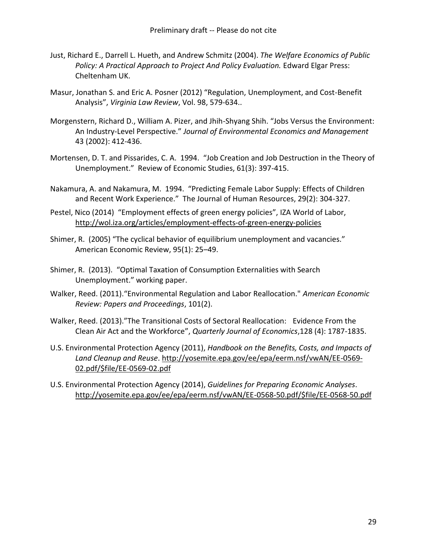- Just, Richard E., Darrell L. Hueth, and Andrew Schmitz (2004). *The Welfare Economics of Public Policy: A Practical Approach to Project And Policy Evaluation.* Edward Elgar Press: Cheltenham UK.
- Masur, Jonathan S. and Eric A. Posner (2012) "Regulation, Unemployment, and Cost-Benefit Analysis", *Virginia Law Review*, Vol. 98, 579-634..
- Morgenstern, Richard D., William A. Pizer, and Jhih-Shyang Shih. "Jobs Versus the Environment: An Industry-Level Perspective." *Journal of Environmental Economics and Management* 43 (2002): 412-436.
- Mortensen, D. T. and Pissarides, C. A. 1994. "Job Creation and Job Destruction in the Theory of Unemployment." Review of Economic Studies, 61(3): 397-415.
- Nakamura, A. and Nakamura, M. 1994. "Predicting Female Labor Supply: Effects of Children and Recent Work Experience." The Journal of Human Resources, 29(2): 304-327.
- Pestel, [Nico \(2014\)](http://wol.iza.org/authors/nico-pestel) "Employment effects of green energy policies", IZA World of Labor, <http://wol.iza.org/articles/employment-effects-of-green-energy-policies>
- Shimer, R. (2005) "The cyclical behavior of equilibrium unemployment and vacancies." American Economic Review, 95(1): 25–49.
- Shimer, R. (2013). "Optimal Taxation of Consumption Externalities with Search Unemployment." working paper.
- Walker, Reed. (2011)."Environmental Regulation and Labor Reallocation." *American Economic Review: Papers and Proceedings*, 101(2).
- Walker, Reed. (2013)."[The Transitional Costs of Sectoral Reallocation: Evidence From the](http://faculty.haas.berkeley.edu/rwalker/research/walker_transitional_costs_CAA.pdf)  [Clean Air Act and the Workforce](http://faculty.haas.berkeley.edu/rwalker/research/walker_transitional_costs_CAA.pdf)", *Quarterly Journal of Economics*,128 (4): 1787-1835.
- U.S. Environmental Protection Agency (2011), *Handbook on the Benefits, Costs, and Impacts of Land Cleanup and Reuse*. [http://yosemite.epa.gov/ee/epa/eerm.nsf/vwAN/EE-0569-](http://yosemite.epa.gov/ee/epa/eerm.nsf/vwAN/EE-0569-02.pdf/$file/EE-0569-02.pdf) [02.pdf/\\$file/EE-0569-02.pdf](http://yosemite.epa.gov/ee/epa/eerm.nsf/vwAN/EE-0569-02.pdf/$file/EE-0569-02.pdf)
- U.S. Environmental Protection Agency (2014), *Guidelines for Preparing Economic Analyses*. [http://yosemite.epa.gov/ee/epa/eerm.nsf/vwAN/EE-0568-50.pdf/\\$file/EE-0568-50.pdf](http://yosemite.epa.gov/ee/epa/eerm.nsf/vwAN/EE-0568-50.pdf/$file/EE-0568-50.pdf)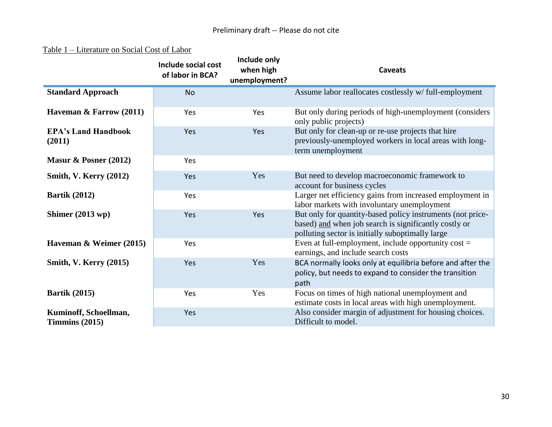### Table 1 – Literature on Social Cost of Labor

|                                           | Include social cost<br>of labor in BCA? | Include only<br>when high<br>unemployment? | <b>Caveats</b>                                                                                                                                                          |
|-------------------------------------------|-----------------------------------------|--------------------------------------------|-------------------------------------------------------------------------------------------------------------------------------------------------------------------------|
| <b>Standard Approach</b>                  | <b>No</b>                               |                                            | Assume labor reallocates costlessly w/ full-employment                                                                                                                  |
| Haveman & Farrow (2011)                   | Yes                                     | Yes                                        | But only during periods of high-unemployment (considers<br>only public projects)                                                                                        |
| <b>EPA's Land Handbook</b><br>(2011)      | Yes                                     | Yes                                        | But only for clean-up or re-use projects that hire<br>previously-unemployed workers in local areas with long-<br>term unemployment                                      |
| Masur & Posner $(2012)$                   | Yes                                     |                                            |                                                                                                                                                                         |
| <b>Smith, V. Kerry (2012)</b>             | Yes                                     | Yes                                        | But need to develop macroeconomic framework to<br>account for business cycles                                                                                           |
| <b>Bartik (2012)</b>                      | Yes                                     |                                            | Larger net efficiency gains from increased employment in<br>labor markets with involuntary unemployment                                                                 |
| Shimer $(2013 wp)$                        | Yes                                     | Yes                                        | But only for quantity-based policy instruments (not price-<br>based) and when job search is significantly costly or<br>polluting sector is initially suboptimally large |
| Haveman $\&$ Weimer (2015)                | Yes                                     |                                            | Even at full-employment, include opportunity $cost =$<br>earnings, and include search costs                                                                             |
| <b>Smith, V. Kerry (2015)</b>             | Yes                                     | Yes                                        | BCA normally looks only at equilibria before and after the<br>policy, but needs to expand to consider the transition<br>path                                            |
| <b>Bartik</b> (2015)                      | Yes                                     | Yes                                        | Focus on times of high national unemployment and<br>estimate costs in local areas with high unemployment.                                                               |
| Kuminoff, Schoellman,<br>Timmins $(2015)$ | Yes                                     |                                            | Also consider margin of adjustment for housing choices.<br>Difficult to model.                                                                                          |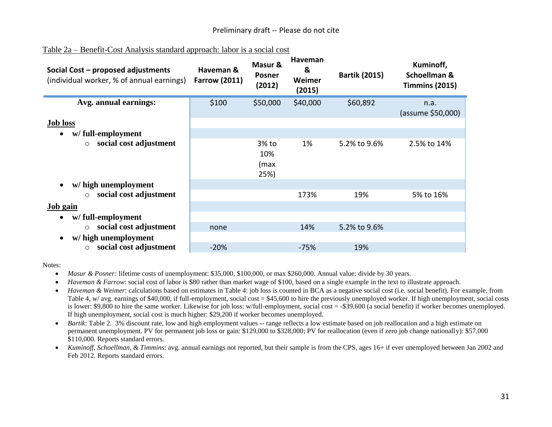| Social Cost - proposed adjustments<br>(individual worker, % of annual earnings) | Haveman &<br><b>Farrow (2011)</b> | Masur &<br><b>Posner</b><br>(2012) | Haveman<br>&<br>Weimer<br>(2015) | <b>Bartik (2015)</b> | Kuminoff,<br>Schoellman &<br><b>Timmins (2015)</b> |
|---------------------------------------------------------------------------------|-----------------------------------|------------------------------------|----------------------------------|----------------------|----------------------------------------------------|
| Avg. annual earnings:<br><b>Job loss</b>                                        | \$100                             | \$50,000                           | \$40,000                         | \$60,892             | n.a.<br>(assume \$50,000)                          |
| w/full-employment<br>$\bullet$<br>social cost adjustment<br>$\circ$             |                                   | 3% to<br>10%<br>(max<br>25%)       | 1%                               | 5.2% to 9.6%         | 2.5% to 14%                                        |
| w/ high unemployment                                                            |                                   |                                    |                                  |                      |                                                    |
| social cost adjustment<br>$\circ$                                               |                                   |                                    | 173%                             | 19%                  | 5% to 16%                                          |
| Job gain                                                                        |                                   |                                    |                                  |                      |                                                    |
| w/full-employment<br>$\bullet$                                                  |                                   |                                    |                                  |                      |                                                    |
| social cost adjustment<br>$\circ$                                               | none                              |                                    | 14%                              | 5.2% to 9.6%         |                                                    |
| w/ high unemployment                                                            |                                   |                                    |                                  |                      |                                                    |
| social cost adjustment<br>$\circ$                                               | $-20%$                            |                                    | $-75%$                           | 19%                  |                                                    |

#### Table 2a – Benefit-Cost Analysis standard approach: labor is a social cost

Notes:

- *Masur & Posner:* lifetime costs of unemployment: \$35,000, \$100,000, or max \$260,000. Annual value: divide by 30 years.
- *Haveman & Farrow*: social cost of labor is \$80 rather than market wage of \$100, based on a single example in the text to illustrate approach.
- *Haveman & Weimer*: calculations based on estimates in Table 4: job loss is counted in BCA as a negative social cost (i.e. social benefit). For example, from Table 4, w/ avg. earnings of \$40,000, if full-employment, social cost  $= $45,600$  to hire the previously unemployed worker. If high unemployment, social costs is lower: \$9,800 to hire the same worker. Likewise for job loss: w/full-employment, social cost = -\$39,600 (a social benefit) if worker becomes unemployed. If high unemployment, social cost is much higher: \$29,200 if worker becomes unemployed.
- *Bartik*: Table 2. 3% discount rate, low and high employment values -- range reflects a low estimate based on job reallocation and a high estimate on permanent unemployment. PV for permanent job loss or gain: \$129,000 to \$328,000; PV for reallocation (even if zero job change nationally): \$57,000 \$110,000. Reports standard errors.
- *Kuminoff, Schoellman, & Timmins*: avg. annual earnings not reported, but their sample is from the CPS, ages 16+ if ever unemployed between Jan 2002 and Feb 2012. Reports standard errors.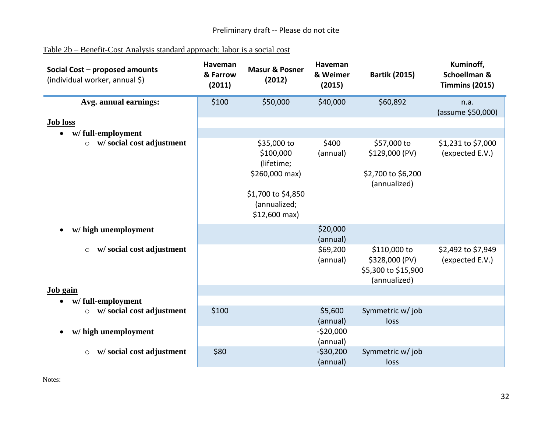| Table 2b – Benefit-Cost Analysis standard approach: labor is a social cost |  |
|----------------------------------------------------------------------------|--|
|                                                                            |  |

| Social Cost - proposed amounts<br>(individual worker, annual \$) | Haveman<br>& Farrow<br>(2011) | <b>Masur &amp; Posner</b><br>(2012)                                                                              | <b>Haveman</b><br>& Weimer<br>(2015) | <b>Bartik (2015)</b>                                                  | Kuminoff,<br>Schoellman &<br><b>Timmins (2015)</b> |
|------------------------------------------------------------------|-------------------------------|------------------------------------------------------------------------------------------------------------------|--------------------------------------|-----------------------------------------------------------------------|----------------------------------------------------|
| Avg. annual earnings:                                            | \$100                         | \$50,000                                                                                                         | \$40,000                             | \$60,892                                                              | n.a.<br>(assume \$50,000)                          |
| <b>Job loss</b><br>w/full-employment<br>$\bullet$                |                               |                                                                                                                  |                                      |                                                                       |                                                    |
| w/social cost adjustment<br>$\circ$                              |                               | \$35,000 to<br>\$100,000<br>(lifetime;<br>\$260,000 max)<br>\$1,700 to \$4,850<br>(annualized;<br>$$12,600$ max) | \$400<br>(annual)                    | \$57,000 to<br>\$129,000 (PV)<br>\$2,700 to \$6,200<br>(annualized)   | \$1,231 to \$7,000<br>(expected E.V.)              |
| w/ high unemployment<br>$\bullet$                                |                               |                                                                                                                  | \$20,000<br>(annual)                 |                                                                       |                                                    |
| w/social cost adjustment<br>$\circ$                              |                               |                                                                                                                  | \$69,200<br>(annual)                 | \$110,000 to<br>\$328,000 (PV)<br>\$5,300 to \$15,900<br>(annualized) | \$2,492 to \$7,949<br>(expected E.V.)              |
| <b>Job</b> gain                                                  |                               |                                                                                                                  |                                      |                                                                       |                                                    |
| w/full-employment<br>$\bullet$                                   |                               |                                                                                                                  |                                      |                                                                       |                                                    |
| w/social cost adjustment<br>$\circ$                              | \$100                         |                                                                                                                  | \$5,600<br>(annual)                  | Symmetric w/ job<br>loss                                              |                                                    |
| w/ high unemployment<br>$\bullet$                                |                               |                                                                                                                  | $-520,000$<br>(annual)               |                                                                       |                                                    |
| w/social cost adjustment<br>$\circ$                              | \$80                          |                                                                                                                  | $-530,200$<br>(annual)               | Symmetric w/ job<br>loss                                              |                                                    |

Notes: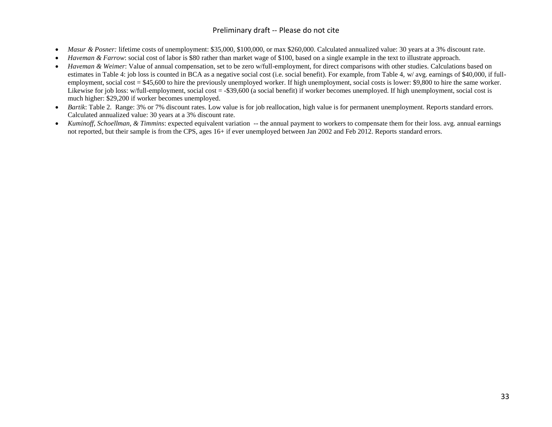#### Preliminary draft -- Please do not cite

- *Masur & Posner:* lifetime costs of unemployment: \$35,000, \$100,000, or max \$260,000. Calculated annualized value: 30 years at a 3% discount rate.
- *Haveman & Farrow*: social cost of labor is \$80 rather than market wage of \$100, based on a single example in the text to illustrate approach.
- *Haveman & Weimer*: Value of annual compensation, set to be zero w/full-employment, for direct comparisons with other studies. Calculations based on estimates in Table 4: job loss is counted in BCA as a negative social cost (i.e. social benefit). For example, from Table 4, w/ avg. earnings of \$40,000, if fullemployment, social cost  $= $45,600$  to hire the previously unemployed worker. If high unemployment, social costs is lower: \$9,800 to hire the same worker. Likewise for job loss: w/full-employment, social cost = -\$39,600 (a social benefit) if worker becomes unemployed. If high unemployment, social cost is much higher: \$29,200 if worker becomes unemployed.
- *Bartik*: Table 2. Range: 3% or 7% discount rates. Low value is for job reallocation, high value is for permanent unemployment. Reports standard errors. Calculated annualized value: 30 years at a 3% discount rate.
- *Kuminoff, Schoellman, & Timmins*: expected equivalent variation -- the annual payment to workers to compensate them for their loss. avg. annual earnings not reported, but their sample is from the CPS, ages 16+ if ever unemployed between Jan 2002 and Feb 2012. Reports standard errors.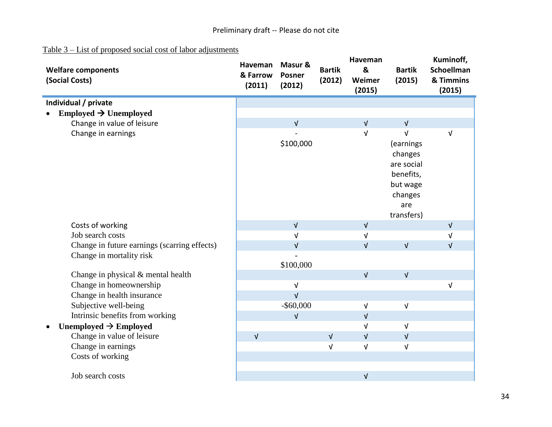### Table 3 – List of proposed social cost of labor adjustments

| <b>Welfare components</b><br>(Social Costs)  | Haveman<br>& Farrow<br>(2011) | Masur &<br><b>Posner</b><br>(2012) | <b>Bartik</b><br>(2012) | Haveman<br>&<br>Weimer<br>(2015) | <b>Bartik</b><br>(2015) | Kuminoff,<br>Schoellman<br>& Timmins<br>(2015) |
|----------------------------------------------|-------------------------------|------------------------------------|-------------------------|----------------------------------|-------------------------|------------------------------------------------|
| Individual / private                         |                               |                                    |                         |                                  |                         |                                                |
| Employed $\rightarrow$ Unemployed            |                               |                                    |                         |                                  |                         |                                                |
| Change in value of leisure                   |                               | $\sqrt{ }$                         |                         | $\sqrt{ }$                       | $\sqrt{ }$              |                                                |
| Change in earnings                           |                               |                                    |                         | $\sqrt{ }$                       | $\sqrt{ }$              | $\sqrt{ }$                                     |
|                                              |                               | \$100,000                          |                         |                                  | (earnings               |                                                |
|                                              |                               |                                    |                         |                                  | changes                 |                                                |
|                                              |                               |                                    |                         |                                  | are social              |                                                |
|                                              |                               |                                    |                         |                                  | benefits,               |                                                |
|                                              |                               |                                    |                         |                                  | but wage                |                                                |
|                                              |                               |                                    |                         |                                  | changes                 |                                                |
|                                              |                               |                                    |                         |                                  | are                     |                                                |
|                                              |                               |                                    |                         |                                  | transfers)              |                                                |
| Costs of working                             |                               | $\sqrt{ }$                         |                         | $\sqrt{ }$                       |                         | $\sqrt{ }$                                     |
| Job search costs                             |                               | $\sqrt{ }$                         |                         | $\sqrt{ }$                       |                         | V                                              |
| Change in future earnings (scarring effects) |                               | $\sqrt{ }$                         |                         | $\sqrt{ }$                       | $\sqrt{ }$              | $\sqrt{ }$                                     |
| Change in mortality risk                     |                               |                                    |                         |                                  |                         |                                                |
|                                              |                               | \$100,000                          |                         |                                  |                         |                                                |
| Change in physical & mental health           |                               |                                    |                         | $\sqrt{ }$                       | $\sqrt{ }$              |                                                |
| Change in homeownership                      |                               | $\sqrt{ }$                         |                         |                                  |                         | $\sqrt{ }$                                     |
| Change in health insurance                   |                               | $\sqrt{ }$                         |                         |                                  |                         |                                                |
| Subjective well-being                        |                               | $-$ \$60,000                       |                         | $\sqrt{ }$                       | $\sqrt{ }$              |                                                |
| Intrinsic benefits from working              |                               | $\sqrt{ }$                         |                         | $\sqrt{ }$                       |                         |                                                |
| Unemployed $\rightarrow$ Employed            |                               |                                    |                         | $\sqrt{ }$                       | $\sqrt{ }$              |                                                |
| Change in value of leisure                   | $\sqrt{ }$                    |                                    | $\sqrt{ }$              | $\sqrt{ }$                       | $\sqrt{ }$              |                                                |
| Change in earnings                           |                               |                                    | $\sqrt{ }$              | $\sqrt{ }$                       | $\sqrt{ }$              |                                                |
| Costs of working                             |                               |                                    |                         |                                  |                         |                                                |
| Job search costs                             |                               |                                    |                         | $\sqrt{ }$                       |                         |                                                |